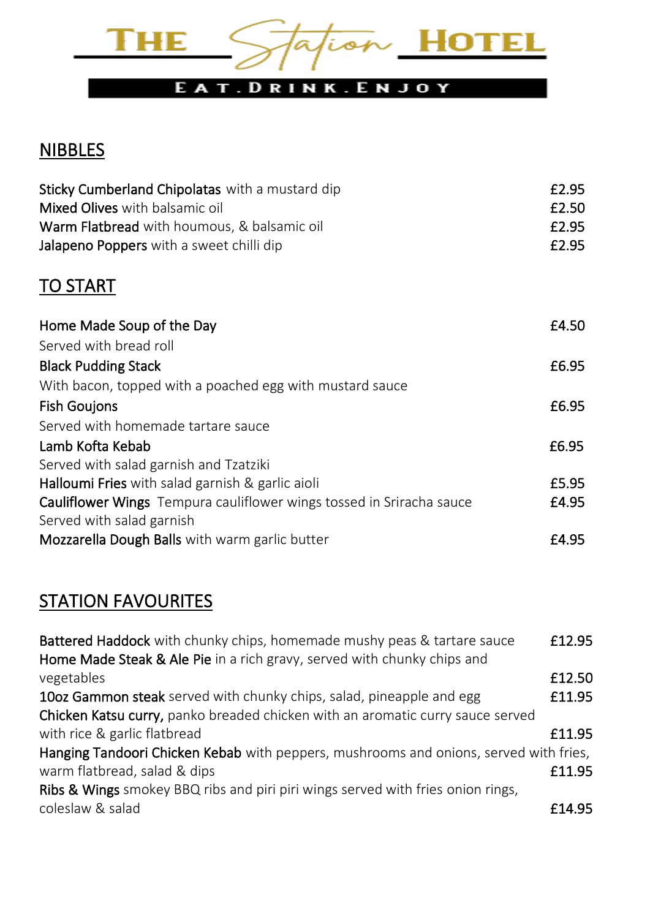

# **NIBBLES**

| Sticky Cumberland Chipolatas with a mustard dip<br>Mixed Olives with balsamic oil<br>Warm Flatbread with houmous, & balsamic oil<br>Jalapeno Poppers with a sweet chilli dip | £2.95<br>£2.50<br>£2.95<br>£2.95 |
|------------------------------------------------------------------------------------------------------------------------------------------------------------------------------|----------------------------------|
| <b>TO START</b>                                                                                                                                                              |                                  |
| Home Made Soup of the Day                                                                                                                                                    | £4.50                            |
| Served with bread roll                                                                                                                                                       |                                  |
| <b>Black Pudding Stack</b>                                                                                                                                                   | £6.95                            |
| With bacon, topped with a poached egg with mustard sauce                                                                                                                     |                                  |
| <b>Fish Goujons</b>                                                                                                                                                          | £6.95                            |
| Served with homemade tartare sauce                                                                                                                                           |                                  |
| Lamb Kofta Kebab                                                                                                                                                             | £6.95                            |
| Served with salad garnish and Tzatziki                                                                                                                                       |                                  |
| Halloumi Fries with salad garnish & garlic aioli                                                                                                                             | £5.95                            |
| <b>Cauliflower Wings</b> Tempura cauliflower wings tossed in Sriracha sauce<br>Served with salad garnish                                                                     | £4.95                            |
| Mozzarella Dough Balls with warm garlic butter                                                                                                                               | £4.95                            |

# **STATION FAVOURITES**

| Battered Haddock with chunky chips, homemade mushy peas & tartare sauce               | £12.95 |
|---------------------------------------------------------------------------------------|--------|
| Home Made Steak & Ale Pie in a rich gravy, served with chunky chips and               |        |
| vegetables                                                                            | £12.50 |
| 10oz Gammon steak served with chunky chips, salad, pineapple and egg                  | £11.95 |
| Chicken Katsu curry, panko breaded chicken with an aromatic curry sauce served        |        |
| with rice & garlic flatbread                                                          | £11.95 |
| Hanging Tandoori Chicken Kebab with peppers, mushrooms and onions, served with fries, |        |
| warm flatbread, salad & dips                                                          | £11.95 |
| Ribs & Wings smokey BBQ ribs and piri piri wings served with fries onion rings,       |        |
| coleslaw & salad                                                                      | £14.95 |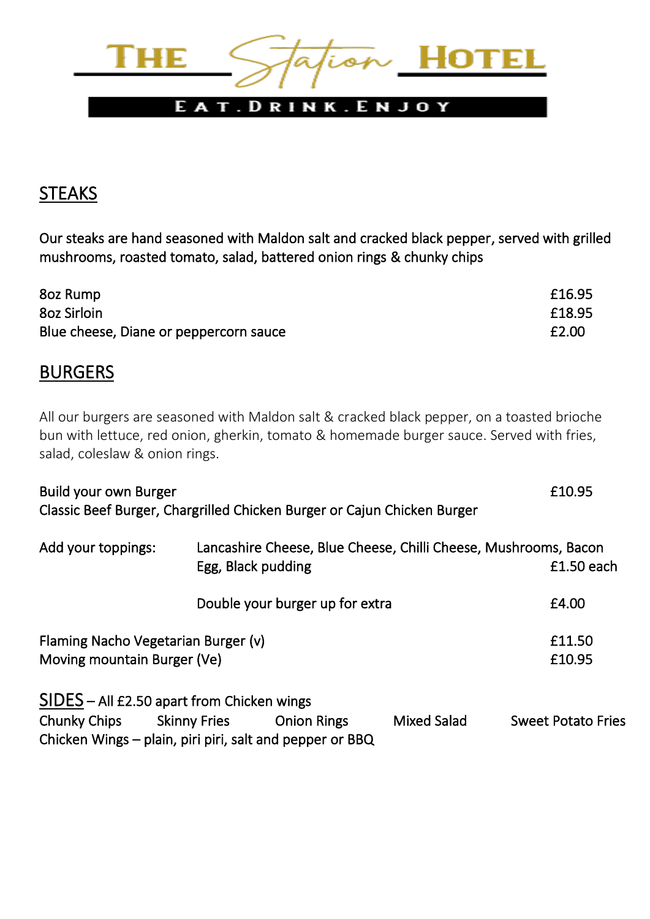

## STEAKS

Our steaks are hand seasoned with Maldon salt and cracked black pepper, served with grilled mushrooms, roasted tomato, salad, battered onion rings & chunky chips

| 8oz Rump                               | £16.95 |
|----------------------------------------|--------|
| 8oz Sirloin                            | £18.95 |
| Blue cheese, Diane or peppercorn sauce | £2.00  |

## **BURGERS**

All our burgers are seasoned with Maldon salt & cracked black pepper, on a toasted brioche bun with lettuce, red onion, gherkin, tomato & homemade burger sauce. Served with fries, salad, coleslaw & onion rings.

| Build your own Burger<br>Classic Beef Burger, Chargrilled Chicken Burger or Cajun Chicken Burger |  |                                                                                       |                    | £10.95                    |
|--------------------------------------------------------------------------------------------------|--|---------------------------------------------------------------------------------------|--------------------|---------------------------|
| Add your toppings:                                                                               |  | Lancashire Cheese, Blue Cheese, Chilli Cheese, Mushrooms, Bacon<br>Egg, Black pudding |                    | $£1.50$ each              |
|                                                                                                  |  | Double your burger up for extra                                                       |                    | £4.00                     |
| Flaming Nacho Vegetarian Burger (v)<br>Moving mountain Burger (Ve)                               |  |                                                                                       |                    | £11.50<br>£10.95          |
| SIDES - All £2.50 apart from Chicken wings                                                       |  |                                                                                       |                    |                           |
| Chunky Chips Skinny Fries                                                                        |  | <b>Onion Rings</b><br>Chicken Wings – plain, piri piri, salt and pepper or BBQ        | <b>Mixed Salad</b> | <b>Sweet Potato Fries</b> |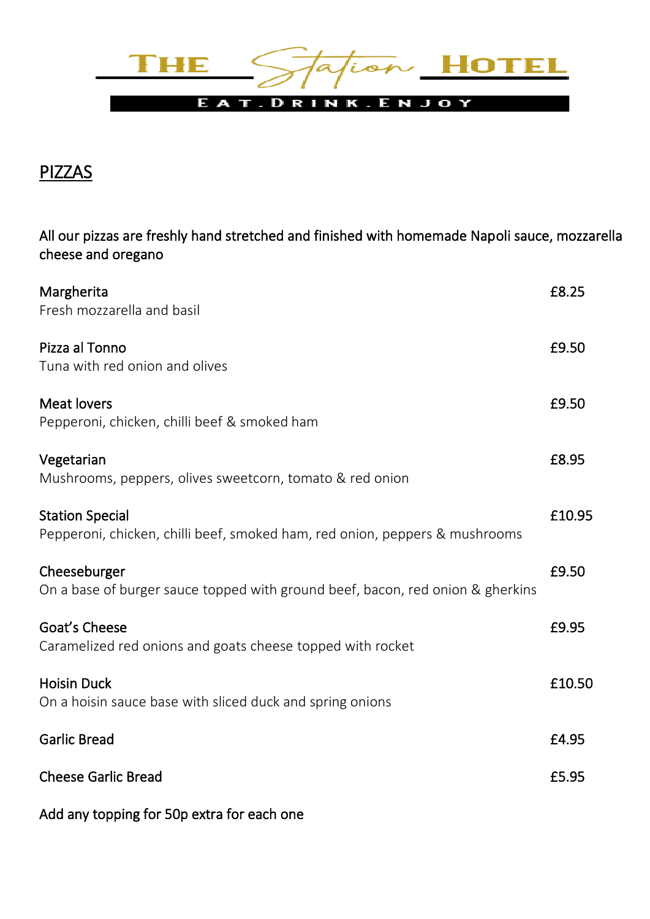

## PIZZAS

All our pizzas are freshly hand stretched and finished with homemade Napoli sauce, mozzarella cheese and oregano

| Margherita<br>Fresh mozzarella and basil                                                              | £8.25  |
|-------------------------------------------------------------------------------------------------------|--------|
| Pizza al Tonno<br>Tuna with red onion and olives                                                      | £9.50  |
| <b>Meat lovers</b><br>Pepperoni, chicken, chilli beef & smoked ham                                    | £9.50  |
| Vegetarian<br>Mushrooms, peppers, olives sweetcorn, tomato & red onion                                | £8.95  |
| <b>Station Special</b><br>Pepperoni, chicken, chilli beef, smoked ham, red onion, peppers & mushrooms | £10.95 |
| Cheeseburger<br>On a base of burger sauce topped with ground beef, bacon, red onion & gherkins        | £9.50  |
| Goat's Cheese<br>Caramelized red onions and goats cheese topped with rocket                           | £9.95  |
| <b>Hoisin Duck</b><br>On a hoisin sauce base with sliced duck and spring onions                       | £10.50 |
| <b>Garlic Bread</b>                                                                                   | £4.95  |
| <b>Cheese Garlic Bread</b>                                                                            | £5.95  |
| Add any topping for 50p extra for each one                                                            |        |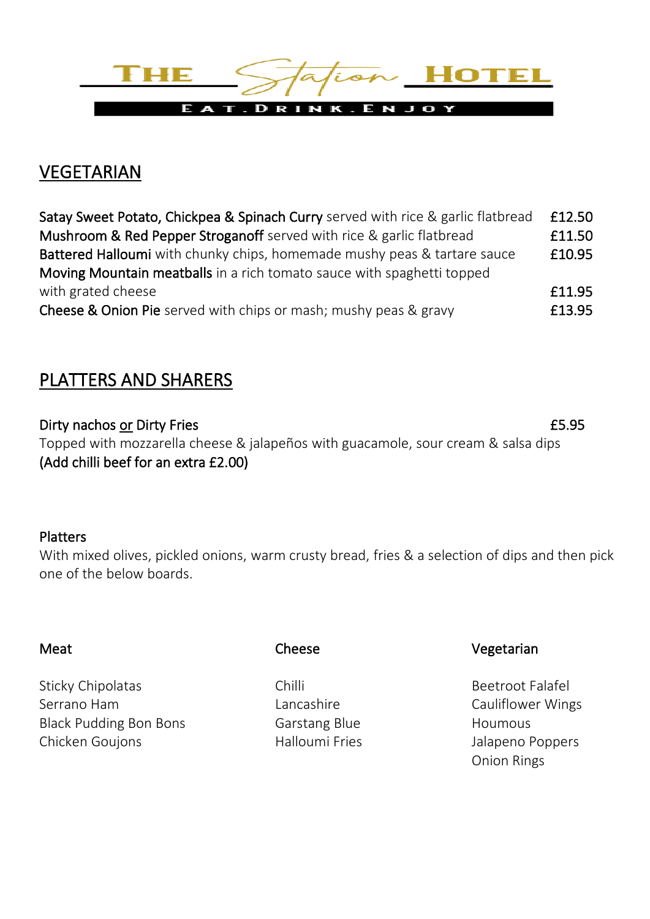

# VEGETARIAN

| Satay Sweet Potato, Chickpea & Spinach Curry served with rice & garlic flatbread | £12.50 |
|----------------------------------------------------------------------------------|--------|
| Mushroom & Red Pepper Stroganoff served with rice & garlic flatbread             | £11.50 |
| Battered Halloumi with chunky chips, homemade mushy peas & tartare sauce         | £10.95 |
| Moving Mountain meatballs in a rich tomato sauce with spaghetti topped           |        |
| with grated cheese                                                               | £11.95 |
| <b>Cheese &amp; Onion Pie</b> served with chips or mash; mushy peas & gravy      | £13.95 |

## PLATTERS AND SHARERS

Dirty nachos or Dirty Fries **EXALL EXACT 2018** 2019 12:35 Topped with mozzarella cheese & jalapeños with guacamole, sour cream & salsa dips (Add chilli beef for an extra £2.00)

### Platters

With mixed olives, pickled onions, warm crusty bread, fries & a selection of dips and then pick one of the below boards.

Sticky Chipolatas Chilli Chilli Chilli Beetroot Falafel Serrano Ham **Cauliflower Wings** Lancashire **Cauliflower Wings** Black Pudding Bon Bons **Garstang Blue** Houmous Chicken Goujons **Malloumi Fries** Fries and Halloumi Fries and Halloumi Pries Analysis and Halloumi Pries and Halloumi Pries Analysis and Halloumi Pries Analysis and Halloumi Pries Analysis and Halloumi Pries Analysis and H

#### Meat Cheese Cheese Vegetarian

Onion Rings